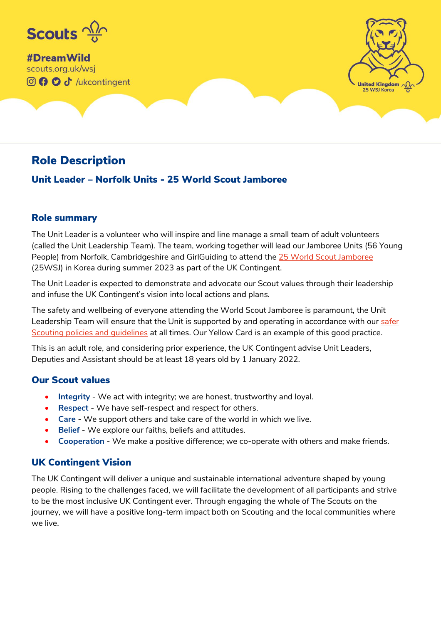

#DreamWild scouts.org.uk/wsj **OO** of /ukcontingent



# Role Description

## Unit Leader – Norfolk Units - 25 World Scout Jamboree

### Role summary

The Unit Leader is a volunteer who will inspire and line manage a small team of adult volunteers (called the Unit Leadership Team). The team, working together will lead our Jamboree Units (56 Young People) from Norfolk, Cambridgeshire and GirlGuiding to attend th[e 25 World Scout Jamboree](https://www.scouts.org.uk/volunteers/running-your-section/international-scouts-and-events/international-events/wsj/about-the-uk-contingent/data-privacy) (25WSJ) in Korea during summer 2023 as part of the UK Contingent.

The Unit Leader is expected to demonstrate and advocate our Scout values through their leadership and infuse the UK Contingent's vision into local actions and plans.

The safety and wellbeing of everyone attending the World Scout Jamboree is paramount, the Unit Leadership Team will ensure that the Unit is supported by and operating in accordance with our safer [Scouting policies and guidelines](https://www.scouts.org.uk/volunteers/staying-safe-and-safeguarding/) at all times. Our Yellow Card is an example of this good practice.

This is an adult role, and considering prior experience, the UK Contingent advise Unit Leaders, Deputies and Assistant should be at least 18 years old by 1 January 2022.

### Our Scout values

- **Integrity** We act with integrity; we are honest, trustworthy and loyal.
- Respect We have self-respect and respect for others.
- **Care**  We support others and take care of the world in which we live.
- **Belief**  We explore our faiths, beliefs and attitudes.
- **Cooperation** We make a positive difference; we co-operate with others and make friends.

## UK Contingent Vision

The UK Contingent will deliver a unique and sustainable international adventure shaped by young people. Rising to the challenges faced, we will facilitate the development of all participants and strive to be the most inclusive UK Contingent ever. Through engaging the whole of The Scouts on the journey, we will have a positive long-term impact both on Scouting and the local communities where we live.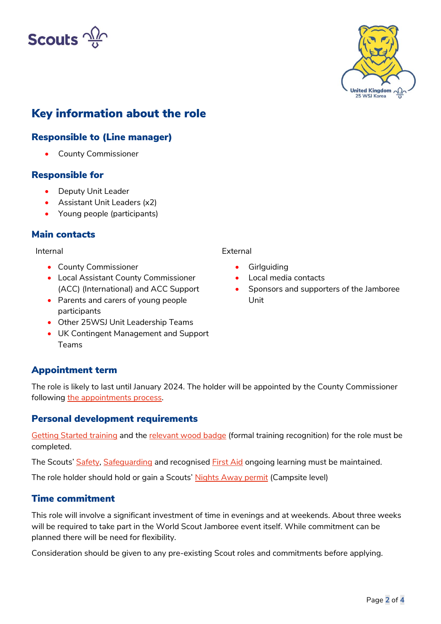



# Key information about the role

## Responsible to (Line manager)

• County Commissioner

### Responsible for

- Deputy Unit Leader
- Assistant Unit Leaders (x2)
- Young people (participants)

### Main contacts

Internal

- County Commissioner
- Local Assistant County Commissioner (ACC) (International) and ACC Support
- Parents and carers of young people participants
- Other 25WSJ Unit Leadership Teams
- UK Contingent Management and Support Teams

## Appointment term

The role is likely to last until January 2024. The holder will be appointed by the County Commissioner following [the appointments process.](https://www.scouts.org.uk/volunteers/running-things-locally/recruiting-and-managing-volunteers/)

### Personal development requirements

[Getting Started training](https://www.scouts.org.uk/volunteers/learning-development-and-awards/training/learners/modules/getting-started-training/) and the [relevant wood badge](https://www.scouts.org.uk/volunteers/learning-development-and-awards/training/learners/modules/getting-started-training/) (formal training recognition) for the role must be completed.

The Scouts' [Safety,](https://www.scouts.org.uk/volunteers/learning-development-and-awards/training/learners/modules/ongoing-training-for-all/safety-training/) [Safeguarding](https://www.scouts.org.uk/volunteers/learning-development-and-awards/training/learners/modules/ongoing-training-for-all/safeguarding/) and recognised [First Aid](https://www.scouts.org.uk/volunteers/learning-development-and-awards/training/learners/modules/ongoing-training-for-all/10-first-aid/) ongoing learning must be maintained.

The role holder should hold or gain a Scouts' [Nights Away permit](https://www.scouts.org.uk/volunteers/running-your-section/nights-away-and-camping/nights-away-permit-scheme/) (Campsite level)

### Time commitment

This role will involve a significant investment of time in evenings and at weekends. About three weeks will be required to take part in the World Scout Jamboree event itself. While commitment can be planned there will be need for flexibility.

Consideration should be given to any pre-existing Scout roles and commitments before applying.

External

- **Girlguiding**
- Local media contacts
- Sponsors and supporters of the Jamboree Unit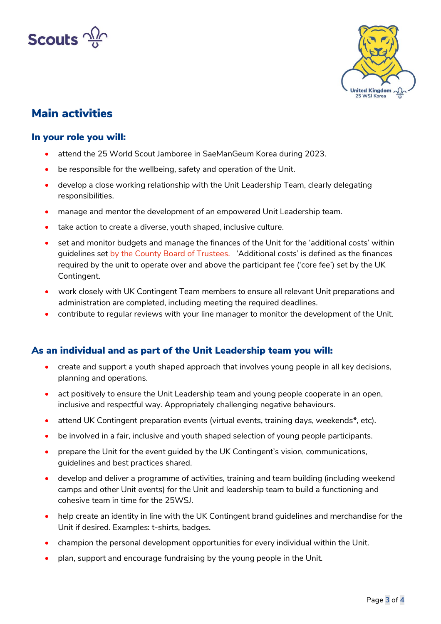



## Main activities

#### In your role you will:

- attend the 25 World Scout Jamboree in SaeManGeum Korea during 2023.
- be responsible for the wellbeing, safety and operation of the Unit.
- develop a close working relationship with the Unit Leadership Team, clearly delegating responsibilities.
- manage and mentor the development of an empowered Unit Leadership team.
- take action to create a diverse, youth shaped, inclusive culture.
- set and monitor budgets and manage the finances of the Unit for the 'additional costs' within guidelines set by the County Board of Trustees. 'Additional costs' is defined as the finances required by the unit to operate over and above the participant fee ('core fee') set by the UK Contingent.
- work closely with UK Contingent Team members to ensure all relevant Unit preparations and administration are completed, including meeting the required deadlines.
- contribute to regular reviews with your line manager to monitor the development of the Unit.

### As an individual and as part of the Unit Leadership team you will:

- create and support a youth shaped approach that involves young people in all key decisions, planning and operations.
- act positively to ensure the Unit Leadership team and young people cooperate in an open, inclusive and respectful way. Appropriately challenging negative behaviours.
- attend UK Contingent preparation events (virtual events, training days, weekends\*, etc).
- be involved in a fair, inclusive and youth shaped selection of young people participants.
- prepare the Unit for the event guided by the UK Contingent's vision, communications, guidelines and best practices shared.
- develop and deliver a programme of activities, training and team building (including weekend camps and other Unit events) for the Unit and leadership team to build a functioning and cohesive team in time for the 25WSJ.
- help create an identity in line with the UK Contingent brand guidelines and merchandise for the Unit if desired. Examples: t-shirts, badges.
- champion the personal development opportunities for every individual within the Unit.
- plan, support and encourage fundraising by the young people in the Unit.